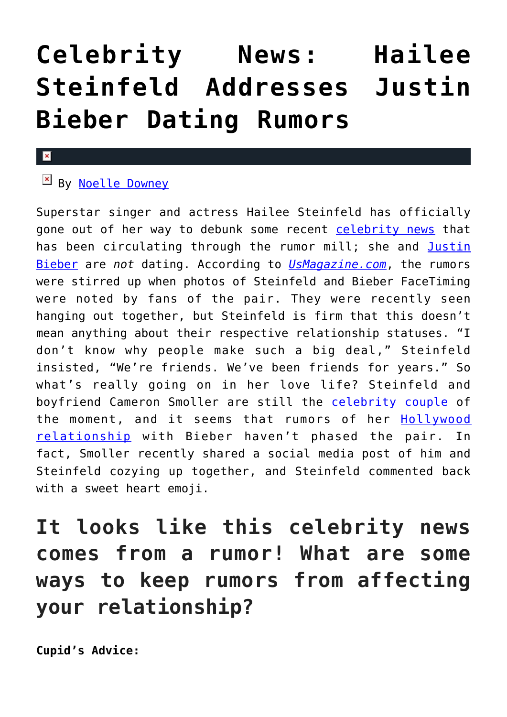## **[Celebrity News: Hailee](https://cupidspulse.com/118224/celebrity-news-hailee-steinfeld-addresses-justin-bieber-dating-rumors/) [Steinfeld Addresses Justin](https://cupidspulse.com/118224/celebrity-news-hailee-steinfeld-addresses-justin-bieber-dating-rumors/) [Bieber Dating Rumors](https://cupidspulse.com/118224/celebrity-news-hailee-steinfeld-addresses-justin-bieber-dating-rumors/)**

## $\mathbf x$

## By [Noelle Downey](http://cupidspulse.com/117903/noelle-downey/)

Superstar singer and actress Hailee Steinfeld has officially gone out of her way to debunk some recent [celebrity news](http://cupidspulse.com/) that has been circulating through the rumor mill; she and [Justin](http://cupidspulse.com/87039/justin-bieber/) [Bieber](http://cupidspulse.com/87039/justin-bieber/) are *not* dating. According to *[UsMagazine.com](http://www.usmagazine.com/celebrity-news/news/hailee-steinfeld-denies-justin-bieber-dating-rumors-w480518)*, the rumors were stirred up when photos of Steinfeld and Bieber FaceTiming were noted by fans of the pair. They were recently seen hanging out together, but Steinfeld is firm that this doesn't mean anything about their respective relationship statuses. "I don't know why people make such a big deal," Steinfeld insisted, "We're friends. We've been friends for years." So what's really going on in her love life? Steinfeld and boyfriend Cameron Smoller are still the [celebrity couple](http://cupidspulse.com/celebrity-news/celebrity-dating/) of the moment, and it seems that rumors of her [Hollywood](http://cupidspulse.com/celebrity-news/celebrity-dating/) [relationship](http://cupidspulse.com/celebrity-news/celebrity-dating/) with Bieber haven't phased the pair. In fact, Smoller recently shared a social media post of him and Steinfeld cozying up together, and Steinfeld commented back with a sweet heart emoji.

## **It looks like this celebrity news comes from a rumor! What are some ways to keep rumors from affecting your relationship?**

**Cupid's Advice:**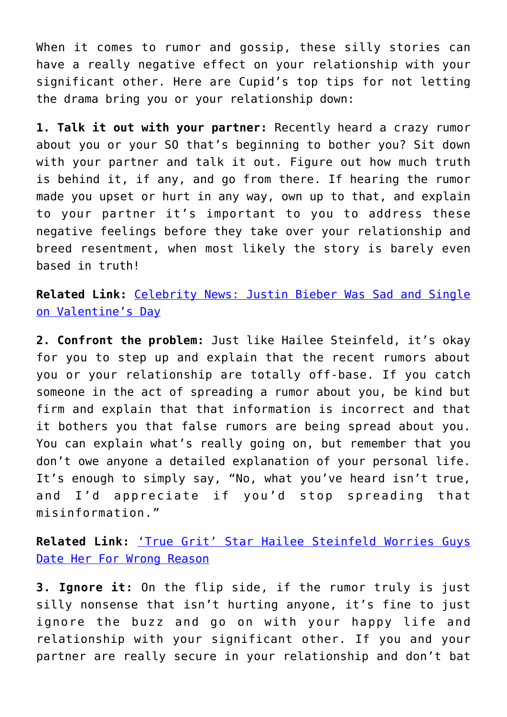When it comes to rumor and gossip, these silly stories can have a really negative effect on your relationship with your significant other. Here are Cupid's top tips for not letting the drama bring you or your relationship down:

**1. Talk it out with your partner:** Recently heard a crazy rumor about you or your SO that's beginning to bother you? Sit down with your partner and talk it out. Figure out how much truth is behind it, if any, and go from there. If hearing the rumor made you upset or hurt in any way, own up to that, and explain to your partner it's important to you to address these negative feelings before they take over your relationship and breed resentment, when most likely the story is barely even based in truth!

**Related Link:** [Celebrity News: Justin Bieber Was Sad and Single](http://cupidspulse.com/116878/celebrity-news-justin-bieber-single-valentines-day/) [on Valentine's Day](http://cupidspulse.com/116878/celebrity-news-justin-bieber-single-valentines-day/)

**2. Confront the problem:** Just like Hailee Steinfeld, it's okay for you to step up and explain that the recent rumors about you or your relationship are totally off-base. If you catch someone in the act of spreading a rumor about you, be kind but firm and explain that that information is incorrect and that it bothers you that false rumors are being spread about you. You can explain what's really going on, but remember that you don't owe anyone a detailed explanation of your personal life. It's enough to simply say, "No, what you've heard isn't true, and I'd appreciate if you'd stop spreading that misinformation."

**Related Link:** ['True Grit' Star Hailee Steinfeld Worries Guys](http://cupidspulse.com/15783/%e2%80%98true-grit%e2%80%99-star-hailee-steinfield-worries-guys-date-her-for-wrong-reason/) [Date Her For Wrong Reason](http://cupidspulse.com/15783/%e2%80%98true-grit%e2%80%99-star-hailee-steinfield-worries-guys-date-her-for-wrong-reason/)

**3. Ignore it:** On the flip side, if the rumor truly is just silly nonsense that isn't hurting anyone, it's fine to just ignore the buzz and go on with your happy life and relationship with your significant other. If you and your partner are really secure in your relationship and don't bat